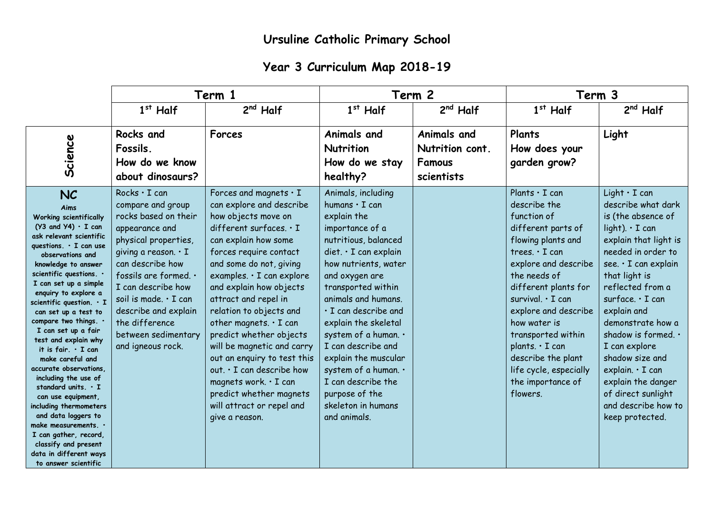## **Year 3 Curriculum Map 2018-19**

|                                                                                                                                                                                                                                                                                                                                                                                                                                                                                                                                                                                                                                                                                                                                   | Term 1                                                                                                                                                                                                                                                                                                                     |                                                                                                                                                                                                                                                                                                                                                                                                                                                                                                                                                                        | Term 2                                                                                                                                                                                                                                                                                                                                                                                                                                                        |                                                               | Term 3                                                                                                                                                                                                                                                                                                                                                                                     |                                                                                                                                                                                                                                                                                                                                                                                                                                            |
|-----------------------------------------------------------------------------------------------------------------------------------------------------------------------------------------------------------------------------------------------------------------------------------------------------------------------------------------------------------------------------------------------------------------------------------------------------------------------------------------------------------------------------------------------------------------------------------------------------------------------------------------------------------------------------------------------------------------------------------|----------------------------------------------------------------------------------------------------------------------------------------------------------------------------------------------------------------------------------------------------------------------------------------------------------------------------|------------------------------------------------------------------------------------------------------------------------------------------------------------------------------------------------------------------------------------------------------------------------------------------------------------------------------------------------------------------------------------------------------------------------------------------------------------------------------------------------------------------------------------------------------------------------|---------------------------------------------------------------------------------------------------------------------------------------------------------------------------------------------------------------------------------------------------------------------------------------------------------------------------------------------------------------------------------------------------------------------------------------------------------------|---------------------------------------------------------------|--------------------------------------------------------------------------------------------------------------------------------------------------------------------------------------------------------------------------------------------------------------------------------------------------------------------------------------------------------------------------------------------|--------------------------------------------------------------------------------------------------------------------------------------------------------------------------------------------------------------------------------------------------------------------------------------------------------------------------------------------------------------------------------------------------------------------------------------------|
|                                                                                                                                                                                                                                                                                                                                                                                                                                                                                                                                                                                                                                                                                                                                   | $1st$ Half                                                                                                                                                                                                                                                                                                                 | $2nd$ Half                                                                                                                                                                                                                                                                                                                                                                                                                                                                                                                                                             | $1st$ Half                                                                                                                                                                                                                                                                                                                                                                                                                                                    | $2nd$ Half                                                    | $1st$ Half                                                                                                                                                                                                                                                                                                                                                                                 | $2nd$ Half                                                                                                                                                                                                                                                                                                                                                                                                                                 |
| Science                                                                                                                                                                                                                                                                                                                                                                                                                                                                                                                                                                                                                                                                                                                           | Rocks and<br>Fossils.<br>How do we know<br>about dinosaurs?                                                                                                                                                                                                                                                                | Forces                                                                                                                                                                                                                                                                                                                                                                                                                                                                                                                                                                 | Animals and<br>Nutrition<br>How do we stay<br>healthy?                                                                                                                                                                                                                                                                                                                                                                                                        | Animals and<br>Nutrition cont.<br><b>Famous</b><br>scientists | Plants<br>How does your<br>garden grow?                                                                                                                                                                                                                                                                                                                                                    | Light                                                                                                                                                                                                                                                                                                                                                                                                                                      |
| <b>NC</b><br>Aims<br><b>Working scientifically</b><br>$(Y3$ and $Y4) \cdot I$ can<br>ask relevant scientific<br>questions. · I can use<br>observations and<br>knowledge to answer<br>scientific questions. .<br>I can set up a simple<br>enquiry to explore a<br>scientific question. $\cdot$ I<br>can set up a test to<br>compare two things. .<br>I can set up a fair<br>test and explain why<br>it is fair. . I can<br>make careful and<br>accurate observations.<br>including the use of<br>standard units. $\cdot$ I<br>can use equipment,<br>including thermometers<br>and data loggers to<br>make measurements. $\cdot$<br>I can gather, record,<br>classify and present<br>data in different ways<br>to answer scientific | Rocks $\cdot$ I can<br>compare and group<br>rocks based on their<br>appearance and<br>physical properties,<br>giving a reason. $\cdot$ I<br>can describe how<br>fossils are formed. .<br>I can describe how<br>soil is made. · I can<br>describe and explain<br>the difference<br>between sedimentary<br>and igneous rock. | Forces and magnets $\cdot$ I<br>can explore and describe<br>how objects move on<br>different surfaces. $\cdot$ I<br>can explain how some<br>forces require contact<br>and some do not, giving<br>examples. · I can explore<br>and explain how objects<br>attract and repel in<br>relation to objects and<br>other magnets. $\cdot$ I can<br>predict whether objects<br>will be magnetic and carry<br>out an enquiry to test this<br>out. · I can describe how<br>magnets work. $\cdot$ I can<br>predict whether magnets<br>will attract or repel and<br>give a reason. | Animals, including<br>humans $\cdot$ I can<br>explain the<br>importance of a<br>nutritious, balanced<br>$\text{diet.} \cdot I$ can explain<br>how nutrients, water<br>and oxygen are<br>transported within<br>animals and humans.<br>· I can describe and<br>explain the skeletal<br>system of a human. .<br>I can describe and<br>explain the muscular<br>system of a human. .<br>I can describe the<br>purpose of the<br>skeleton in humans<br>and animals. |                                                               | Plants $\cdot$ I can<br>describe the<br>function of<br>different parts of<br>flowing plants and<br>trees. $\cdot$ I can<br>explore and describe<br>the needs of<br>different plants for<br>survival. $\cdot$ I can<br>explore and describe<br>how water is<br>transported within<br>plants. $\cdot$ I can<br>describe the plant<br>life cycle, especially<br>the importance of<br>flowers. | $Light \cdot I can$<br>describe what dark<br>is (the absence of<br>$light$ ). $\cdot$ I can<br>explain that light is<br>needed in order to<br>see. · I can explain<br>that light is<br>reflected from a<br>surface. · I can<br>explain and<br>demonstrate how a<br>shadow is formed. .<br>I can explore<br>shadow size and<br>explain. $\cdot$ I can<br>explain the danger<br>of direct sunlight<br>and describe how to<br>keep protected. |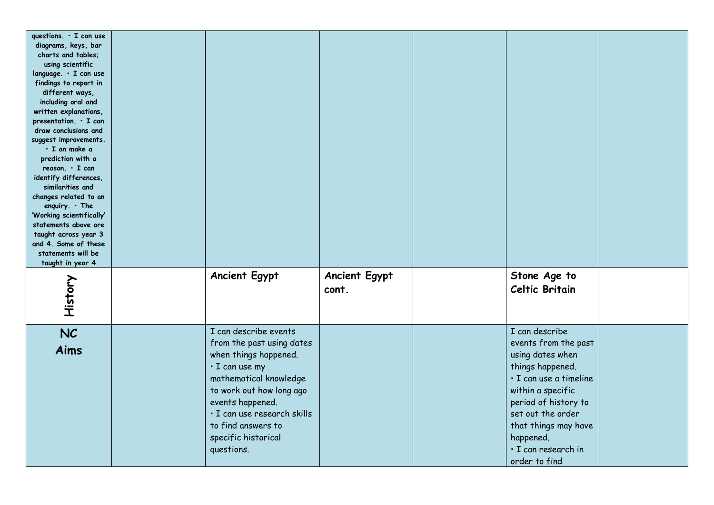| questions. · I can use<br>diagrams, keys, bar<br>charts and tables;<br>using scientific<br>language. · I can use<br>findings to report in<br>different ways,<br>including oral and<br>written explanations,<br>presentation. $\cdot$ I can<br>draw conclusions and<br>suggest improvements.<br>· I an make a<br>prediction with a<br>$reason. \cdot I can$<br>identify differences,<br>similarities and<br>changes related to an<br>enquiry. $\cdot$ The<br>'Working scientifically'<br>statements above are<br>taught across year 3<br>and 4. Some of these<br>statements will be<br>taught in year 4 |                                                                                                                                                                                                                                                                         |                               |                                                                                                                                                                                                                                                         |  |
|--------------------------------------------------------------------------------------------------------------------------------------------------------------------------------------------------------------------------------------------------------------------------------------------------------------------------------------------------------------------------------------------------------------------------------------------------------------------------------------------------------------------------------------------------------------------------------------------------------|-------------------------------------------------------------------------------------------------------------------------------------------------------------------------------------------------------------------------------------------------------------------------|-------------------------------|---------------------------------------------------------------------------------------------------------------------------------------------------------------------------------------------------------------------------------------------------------|--|
| History                                                                                                                                                                                                                                                                                                                                                                                                                                                                                                                                                                                                | <b>Ancient Egypt</b>                                                                                                                                                                                                                                                    | <b>Ancient Egypt</b><br>cont. | Stone Age to<br>Celtic Britain                                                                                                                                                                                                                          |  |
| <b>NC</b><br>Aims                                                                                                                                                                                                                                                                                                                                                                                                                                                                                                                                                                                      | I can describe events<br>from the past using dates<br>when things happened.<br>$\cdot$ I can use my<br>mathematical knowledge<br>to work out how long ago<br>events happened.<br>· I can use research skills<br>to find answers to<br>specific historical<br>questions. |                               | I can describe<br>events from the past<br>using dates when<br>things happened.<br>· I can use a timeline<br>within a specific<br>period of history to<br>set out the order<br>that things may have<br>happened.<br>· I can research in<br>order to find |  |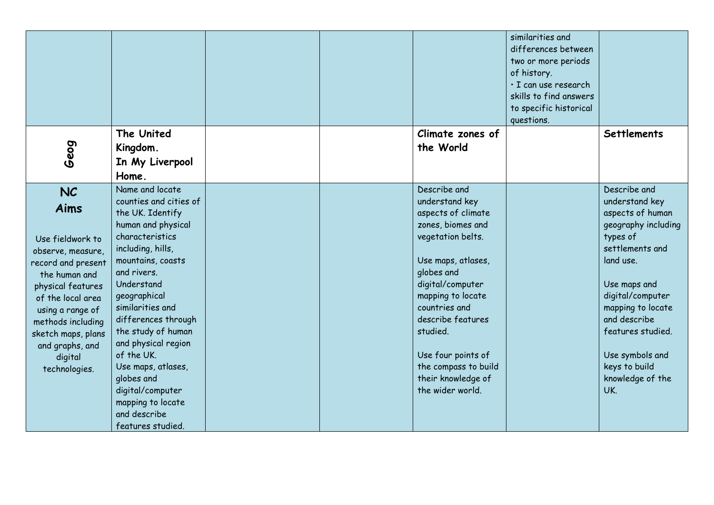|                                                                                                                                                                                                                                                           |                                                                                                                                                                                                                                                                                                                                                                                                                       |  |                                                                                                                                                                                                                                                                                                                       | similarities and<br>differences between<br>two or more periods<br>of history.<br>· I can use research<br>skills to find answers<br>to specific historical<br>questions. |                                                                                                                                                                                                                                                                                    |
|-----------------------------------------------------------------------------------------------------------------------------------------------------------------------------------------------------------------------------------------------------------|-----------------------------------------------------------------------------------------------------------------------------------------------------------------------------------------------------------------------------------------------------------------------------------------------------------------------------------------------------------------------------------------------------------------------|--|-----------------------------------------------------------------------------------------------------------------------------------------------------------------------------------------------------------------------------------------------------------------------------------------------------------------------|-------------------------------------------------------------------------------------------------------------------------------------------------------------------------|------------------------------------------------------------------------------------------------------------------------------------------------------------------------------------------------------------------------------------------------------------------------------------|
|                                                                                                                                                                                                                                                           | The United                                                                                                                                                                                                                                                                                                                                                                                                            |  | Climate zones of                                                                                                                                                                                                                                                                                                      |                                                                                                                                                                         | <b>Settlements</b>                                                                                                                                                                                                                                                                 |
| Geog                                                                                                                                                                                                                                                      | Kingdom.<br>In My Liverpool                                                                                                                                                                                                                                                                                                                                                                                           |  | the World                                                                                                                                                                                                                                                                                                             |                                                                                                                                                                         |                                                                                                                                                                                                                                                                                    |
|                                                                                                                                                                                                                                                           | Home.                                                                                                                                                                                                                                                                                                                                                                                                                 |  |                                                                                                                                                                                                                                                                                                                       |                                                                                                                                                                         |                                                                                                                                                                                                                                                                                    |
| <b>NC</b><br>Aims<br>Use fieldwork to<br>observe, measure,<br>record and present<br>the human and<br>physical features<br>of the local area<br>using a range of<br>methods including<br>sketch maps, plans<br>and graphs, and<br>digital<br>technologies. | Name and locate<br>counties and cities of<br>the UK. Identify<br>human and physical<br>characteristics<br>including, hills,<br>mountains, coasts<br>and rivers.<br>Understand<br>geographical<br>similarities and<br>differences through<br>the study of human<br>and physical region<br>of the UK.<br>Use maps, atlases,<br>globes and<br>digital/computer<br>mapping to locate<br>and describe<br>features studied. |  | Describe and<br>understand key<br>aspects of climate<br>zones, biomes and<br>vegetation belts.<br>Use maps, atlases,<br>globes and<br>digital/computer<br>mapping to locate<br>countries and<br>describe features<br>studied.<br>Use four points of<br>the compass to build<br>their knowledge of<br>the wider world. |                                                                                                                                                                         | Describe and<br>understand key<br>aspects of human<br>geography including<br>types of<br>settlements and<br>land use.<br>Use maps and<br>digital/computer<br>mapping to locate<br>and describe<br>features studied.<br>Use symbols and<br>keys to build<br>knowledge of the<br>UK. |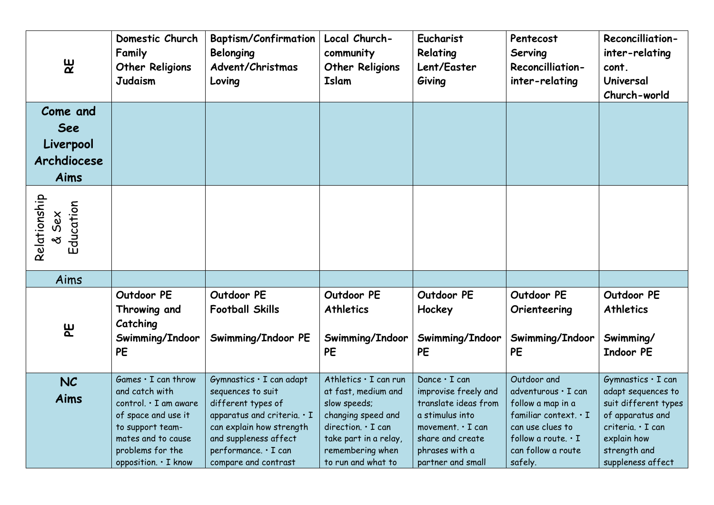| $\mathbf{g}$                                        | Domestic Church<br>Family<br><b>Other Religions</b><br><b>Judaism</b>                                                                                                             | <b>Baptism/Confirmation</b><br>Belonging<br>Advent/Christmas<br>Loving                                                                                                                                        | Local Church-<br>community<br><b>Other Religions</b><br>Islam                                                                                                                     | Eucharist<br>Relating<br>Lent/Easter<br>Giving                                                                                                                               | Pentecost<br>Serving<br><b>Reconcilliation-</b><br>inter-relating                                                                                                  | <b>Reconcilliation-</b><br>inter-relating<br>cont.<br>Universal<br>Church-world                                                                               |
|-----------------------------------------------------|-----------------------------------------------------------------------------------------------------------------------------------------------------------------------------------|---------------------------------------------------------------------------------------------------------------------------------------------------------------------------------------------------------------|-----------------------------------------------------------------------------------------------------------------------------------------------------------------------------------|------------------------------------------------------------------------------------------------------------------------------------------------------------------------------|--------------------------------------------------------------------------------------------------------------------------------------------------------------------|---------------------------------------------------------------------------------------------------------------------------------------------------------------|
| Come and<br>See<br>Liverpool<br>Archdiocese<br>Aims |                                                                                                                                                                                   |                                                                                                                                                                                                               |                                                                                                                                                                                   |                                                                                                                                                                              |                                                                                                                                                                    |                                                                                                                                                               |
| Relationship<br>Education<br>& Sex                  |                                                                                                                                                                                   |                                                                                                                                                                                                               |                                                                                                                                                                                   |                                                                                                                                                                              |                                                                                                                                                                    |                                                                                                                                                               |
| Aims                                                |                                                                                                                                                                                   |                                                                                                                                                                                                               |                                                                                                                                                                                   |                                                                                                                                                                              |                                                                                                                                                                    |                                                                                                                                                               |
| <u>မူ</u>                                           | Outdoor PE<br>Throwing and<br>Catching<br>Swimming/Indoor<br><b>PE</b>                                                                                                            | Outdoor PE<br><b>Football Skills</b><br>Swimming/Indoor PE                                                                                                                                                    | Outdoor PE<br><b>Athletics</b><br>Swimming/Indoor<br><b>PE</b>                                                                                                                    | Outdoor PE<br>Hockey<br>Swimming/Indoor<br><b>PE</b>                                                                                                                         | Outdoor PE<br>Orienteering<br>Swimming/Indoor<br><b>PE</b>                                                                                                         | Outdoor PE<br><b>Athletics</b><br>Swimming/<br><b>Indoor PE</b>                                                                                               |
| <b>NC</b><br>Aims                                   | $Games \cdot I can throw$<br>and catch with<br>control. · I am aware<br>of space and use it<br>to support team-<br>mates and to cause<br>problems for the<br>opposition. · I know | Gymnastics · I can adapt<br>sequences to suit<br>different types of<br>apparatus and criteria. $\cdot$ I<br>can explain how strength<br>and suppleness affect<br>performance. · I can<br>compare and contrast | Athletics . I can run<br>at fast, medium and<br>slow speeds;<br>changing speed and<br>direction. $\cdot$ I can<br>take part in a relay,<br>remembering when<br>to run and what to | Dance $\cdot$ I can<br>improvise freely and<br>translate ideas from<br>a stimulus into<br>movement. $\cdot$ I can<br>share and create<br>phrases with a<br>partner and small | Outdoor and<br>adventurous · I can<br>follow a map in a<br>familiar context. · I<br>can use clues to<br>follow a route. $\cdot$ I<br>can follow a route<br>safely. | Gymnastics . I can<br>adapt sequences to<br>suit different types<br>of apparatus and<br>criteria. · I can<br>explain how<br>strength and<br>suppleness affect |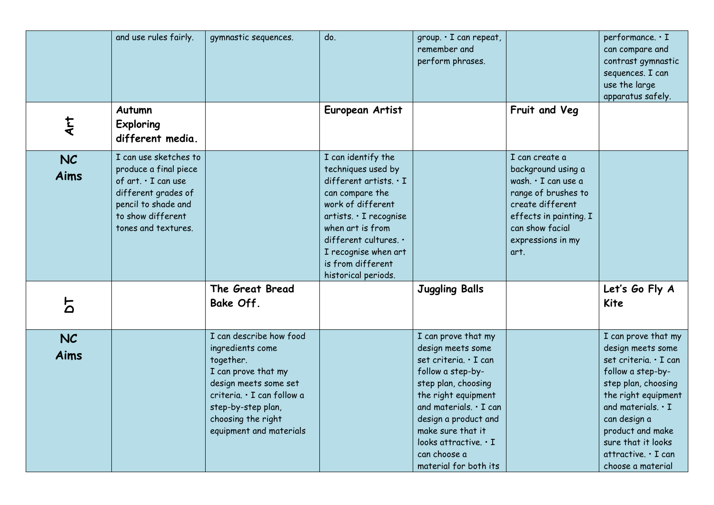|                          | and use rules fairly.                                                                                                                                           | gymnastic sequences.                                                                                                                                                                                          | do.                                                                                                                                                                                                                                                         | group. · I can repeat,<br>remember and<br>perform phrases.                                                                                                                                                                                                                          |                                                                                                                                                                                  | performance. · I<br>can compare and<br>contrast gymnastic<br>sequences. I can<br>use the large<br>apparatus safely.                                                                                                                                                    |
|--------------------------|-----------------------------------------------------------------------------------------------------------------------------------------------------------------|---------------------------------------------------------------------------------------------------------------------------------------------------------------------------------------------------------------|-------------------------------------------------------------------------------------------------------------------------------------------------------------------------------------------------------------------------------------------------------------|-------------------------------------------------------------------------------------------------------------------------------------------------------------------------------------------------------------------------------------------------------------------------------------|----------------------------------------------------------------------------------------------------------------------------------------------------------------------------------|------------------------------------------------------------------------------------------------------------------------------------------------------------------------------------------------------------------------------------------------------------------------|
| <b>Art</b>               | Autumn<br><b>Exploring</b><br>different media.                                                                                                                  |                                                                                                                                                                                                               | European Artist                                                                                                                                                                                                                                             |                                                                                                                                                                                                                                                                                     | Fruit and Veg                                                                                                                                                                    |                                                                                                                                                                                                                                                                        |
| <b>NC</b><br><b>Aims</b> | I can use sketches to<br>produce a final piece<br>of art. . I can use<br>different grades of<br>pencil to shade and<br>to show different<br>tones and textures. |                                                                                                                                                                                                               | I can identify the<br>techniques used by<br>different artists. $\cdot$ I<br>can compare the<br>work of different<br>artists. · I recognise<br>when art is from<br>different cultures. .<br>I recognise when art<br>is from different<br>historical periods. |                                                                                                                                                                                                                                                                                     | I can create a<br>background using a<br>wash. · I can use a<br>range of brushes to<br>create different<br>effects in painting. I<br>can show facial<br>expressions in my<br>art. |                                                                                                                                                                                                                                                                        |
| 5                        |                                                                                                                                                                 | The Great Bread<br>Bake Off.                                                                                                                                                                                  |                                                                                                                                                                                                                                                             | <b>Juggling Balls</b>                                                                                                                                                                                                                                                               |                                                                                                                                                                                  | Let's Go Fly A<br>Kite                                                                                                                                                                                                                                                 |
| <b>NC</b><br><b>Aims</b> |                                                                                                                                                                 | I can describe how food<br>ingredients come<br>together.<br>I can prove that my<br>design meets some set<br>criteria. · I can follow a<br>step-by-step plan,<br>choosing the right<br>equipment and materials |                                                                                                                                                                                                                                                             | I can prove that my<br>design meets some<br>set criteria. · I can<br>follow a step-by-<br>step plan, choosing<br>the right equipment<br>and materials. . I can<br>design a product and<br>make sure that it<br>looks attractive. $\cdot$ I<br>can choose a<br>material for both its |                                                                                                                                                                                  | I can prove that my<br>design meets some<br>set criteria. · I can<br>follow a step-by-<br>step plan, choosing<br>the right equipment<br>and materials. $\cdot$ I<br>can design a<br>product and make<br>sure that it looks<br>attractive. · I can<br>choose a material |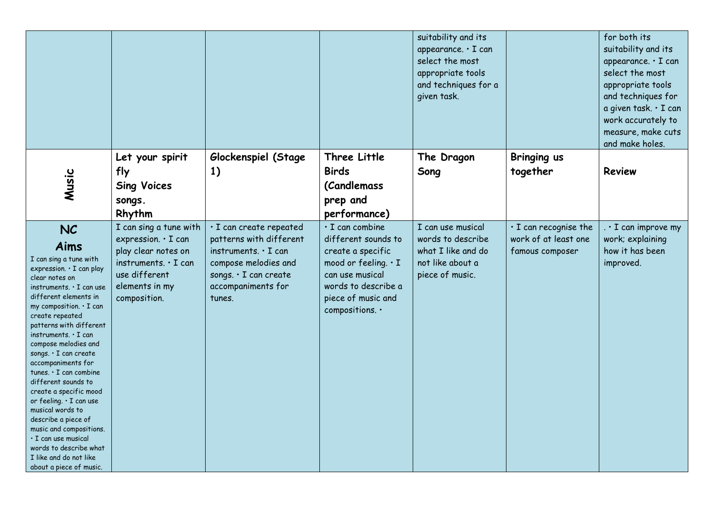|                                                                                                                                                                                                                                                                                                                                                                                                                                                                                                                                                                                                                |                                                                                                                                                       |                                                                                                                                                                   |                                                                                                                                                                                    | suitability and its<br>appearance. · I can<br>select the most<br>appropriate tools<br>and techniques for a<br>given task. |                                                                        | for both its<br>suitability and its<br>appearance. · I can<br>select the most<br>appropriate tools<br>and techniques for<br>a given task. · I can<br>work accurately to<br>measure, make cuts<br>and make holes. |
|----------------------------------------------------------------------------------------------------------------------------------------------------------------------------------------------------------------------------------------------------------------------------------------------------------------------------------------------------------------------------------------------------------------------------------------------------------------------------------------------------------------------------------------------------------------------------------------------------------------|-------------------------------------------------------------------------------------------------------------------------------------------------------|-------------------------------------------------------------------------------------------------------------------------------------------------------------------|------------------------------------------------------------------------------------------------------------------------------------------------------------------------------------|---------------------------------------------------------------------------------------------------------------------------|------------------------------------------------------------------------|------------------------------------------------------------------------------------------------------------------------------------------------------------------------------------------------------------------|
| Music                                                                                                                                                                                                                                                                                                                                                                                                                                                                                                                                                                                                          | Let your spirit<br>fly<br><b>Sing Voices</b><br>songs.<br>Rhythm                                                                                      | Glockenspiel (Stage<br>1)                                                                                                                                         | Three Little<br><b>Birds</b><br><i>(Candlemass</i><br>prep and<br>performance)                                                                                                     | The Dragon<br>Song                                                                                                        | Bringing us<br>together                                                | Review                                                                                                                                                                                                           |
| <b>NC</b><br>Aims<br>I can sing a tune with<br>expression. . I can play<br>clear notes on<br>instruments. • I can use<br>different elements in<br>my composition. $\cdot$ I can<br>create repeated<br>patterns with different<br>instruments. • I can<br>compose melodies and<br>songs. · I can create<br>accompaniments for<br>tunes. · I can combine<br>different sounds to<br>create a specific mood<br>or feeling. • I can use<br>musical words to<br>describe a piece of<br>music and compositions.<br>· I can use musical<br>words to describe what<br>I like and do not like<br>about a piece of music. | I can sing a tune with<br>expression. · I can<br>play clear notes on<br>instruments. $\cdot$ I can<br>use different<br>elements in my<br>composition. | · I can create repeated<br>patterns with different<br>instruments. $\cdot$ I can<br>compose melodies and<br>songs. · I can create<br>accompaniments for<br>tunes. | $\cdot$ I can combine<br>different sounds to<br>create a specific<br>mood or feeling. $\cdot$ I<br>can use musical<br>words to describe a<br>piece of music and<br>compositions. . | I can use musical<br>words to describe<br>what I like and do<br>not like about a<br>piece of music.                       | $\cdot$ I can recognise the<br>work of at least one<br>famous composer | $\cdot$ I can improve my<br>work; explaining<br>how it has been<br>improved.                                                                                                                                     |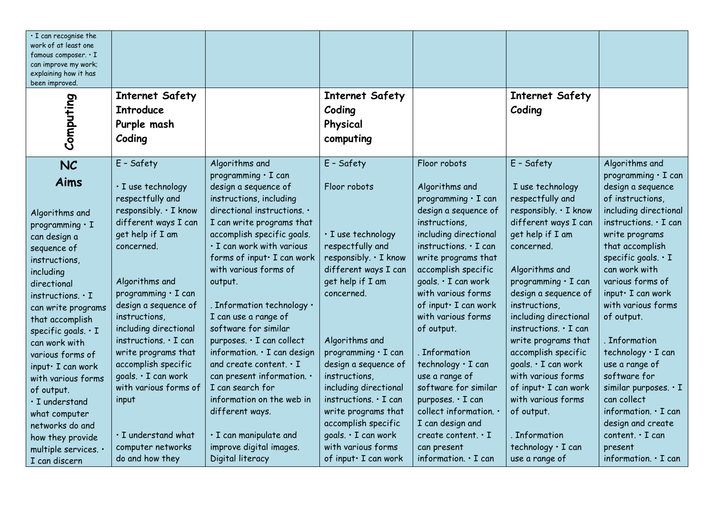| $\cdot$ I can recognise the<br>work of at least one<br>famous composer. $\cdot$ I<br>can improve my work; |                                                                                                                |                                                                                                                                                            |                                                                                                                            |                                                                                                                           |                                                                                                                      |                                                                                                                                              |
|-----------------------------------------------------------------------------------------------------------|----------------------------------------------------------------------------------------------------------------|------------------------------------------------------------------------------------------------------------------------------------------------------------|----------------------------------------------------------------------------------------------------------------------------|---------------------------------------------------------------------------------------------------------------------------|----------------------------------------------------------------------------------------------------------------------|----------------------------------------------------------------------------------------------------------------------------------------------|
| explaining how it has<br>been improved.                                                                   |                                                                                                                |                                                                                                                                                            |                                                                                                                            |                                                                                                                           |                                                                                                                      |                                                                                                                                              |
| Computing                                                                                                 | <b>Internet Safety</b><br><b>Introduce</b><br>Purple mash<br>Coding                                            |                                                                                                                                                            | <b>Internet Safety</b><br>Coding<br>Physical<br>computing                                                                  |                                                                                                                           | <b>Internet Safety</b><br>Coding                                                                                     |                                                                                                                                              |
| <b>NC</b><br><b>Aims</b><br>Algorithms and<br>programming $\cdot$ I                                       | E - Safety<br>· I use technology<br>respectfully and<br>responsibly. . I know<br>different ways I can          | Algorithms and<br>programming $\cdot$ I can<br>design a sequence of<br>instructions, including<br>directional instructions. .<br>I can write programs that | E - Safety<br>Floor robots                                                                                                 | Floor robots<br>Algorithms and<br>programming · I can<br>design a sequence of<br>instructions,                            | E - Safety<br>I use technology<br>respectfully and<br>responsibly. . I know<br>different ways I can                  | Algorithms and<br>programming $\cdot$ I can<br>design a sequence<br>of instructions,<br>including directional<br>instructions. $\cdot$ I can |
| can design a<br>sequence of<br>instructions,<br>including<br>directional                                  | get help if I am<br>concerned.<br>Algorithms and                                                               | accomplish specific goals.<br>· I can work with various<br>forms of input · I can work<br>with various forms of<br>output.                                 | · I use technology<br>respectfully and<br>responsibly. . I know<br>different ways I can<br>get help if I am                | including directional<br>instructions. $\cdot$ I can<br>write programs that<br>accomplish specific<br>goals. · I can work | get help if I am<br>concerned.<br>Algorithms and<br>programming · I can                                              | write programs<br>that accomplish<br>specific goals. $\cdot$ I<br>can work with<br>various forms of                                          |
| instructions. . I<br>can write programs<br>that accomplish<br>specific goals. $\cdot$ I<br>can work with  | programming · I can<br>design a sequence of<br>instructions,<br>including directional<br>instructions. · I can | . Information technology $\cdot$<br>I can use a range of<br>software for similar<br>purposes. · I can collect                                              | concerned.<br>Algorithms and                                                                                               | with various forms<br>of input · I can work<br>with various forms<br>of output.                                           | design a sequence of<br>instructions,<br>including directional<br>instructions. $\cdot$ I can<br>write programs that | input · I can work<br>with various forms<br>of output.<br>. Information                                                                      |
| various forms of<br>input · I can work<br>with various forms<br>of output.<br>$\cdot$ I understand        | write programs that<br>accomplish specific<br>goals. · I can work<br>with various forms of<br>input            | information. · I can design<br>and create content. . I<br>can present information. .<br>I can search for<br>information on the web in                      | programming $\cdot$ I can<br>design a sequence of<br>instructions,<br>including directional<br>instructions. $\cdot$ I can | . Information<br>technology · I can<br>use a range of<br>software for similar<br>purposes. · I can                        | accomplish specific<br>goals. . I can work<br>with various forms<br>of input · I can work<br>with various forms      | technology · I can<br>use a range of<br>software for<br>similar purposes. · I<br>can collect                                                 |
| what computer<br>networks do and<br>how they provide<br>multiple services. .<br>I can discern             | · I understand what<br>computer networks<br>do and how they                                                    | different ways.<br>· I can manipulate and<br>improve digital images.<br>Digital literacy                                                                   | write programs that<br>accomplish specific<br>goals. · I can work<br>with various forms<br>of input · I can work           | collect information. .<br>I can design and<br>create content $\cdot$ I<br>can present<br>information. $\cdot$ I can       | of output.<br>. Information<br>technology · I can<br>use a range of                                                  | information. $\cdot$ I can<br>design and create<br>content. $\cdot$ I can<br>present<br>information. $\cdot$ I can                           |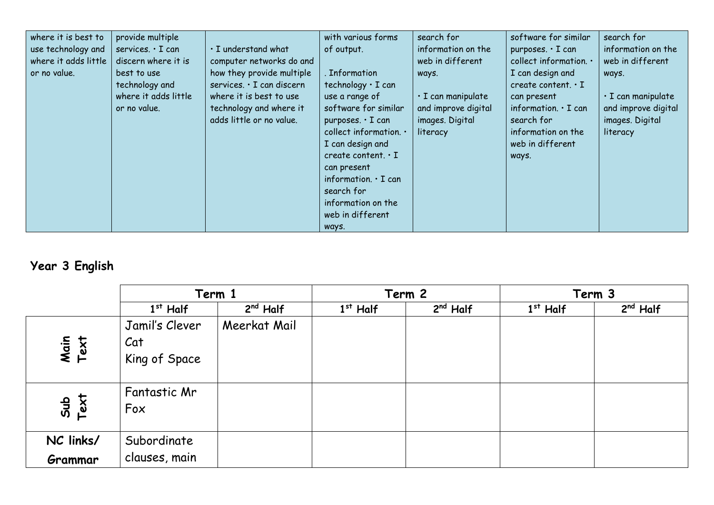| where it is best to<br>use technology and<br>where it adds little<br>or no value. | provide multiple<br>services. $\cdot$ I can<br>discern where it is<br>best to use<br>technology and<br>where it adds little<br>or no value. | · I understand what<br>computer networks do and<br>how they provide multiple<br>services. · I can discern<br>where it is best to use<br>technology and where it<br>adds little or no value. | with various forms<br>of output.<br>. Information<br>technology $\cdot$ I can<br>use a range of<br>software for similar<br>purposes. $\cdot$ I can<br>collect information. .<br>I can design and<br>create content. $\cdot$ I<br>can present<br>information. $\cdot$ I can<br>search for<br>information on the | search for<br>information on the<br>web in different<br>ways.<br>$\cdot$ I can manipulate<br>and improve digital<br>images. Digital<br>literacy | software for similar<br>purposes. $\cdot$ I can<br>collect information. .<br>I can design and<br>create content. $\cdot$ I<br>can present<br>information. $\cdot$ I can<br>search for<br>information on the<br>web in different<br>ways. | search for<br>information on the<br>web in different<br>ways.<br>$\cdot$ I can manipulate<br>and improve digital<br>images. Digital<br>literacy |
|-----------------------------------------------------------------------------------|---------------------------------------------------------------------------------------------------------------------------------------------|---------------------------------------------------------------------------------------------------------------------------------------------------------------------------------------------|----------------------------------------------------------------------------------------------------------------------------------------------------------------------------------------------------------------------------------------------------------------------------------------------------------------|-------------------------------------------------------------------------------------------------------------------------------------------------|------------------------------------------------------------------------------------------------------------------------------------------------------------------------------------------------------------------------------------------|-------------------------------------------------------------------------------------------------------------------------------------------------|
|                                                                                   |                                                                                                                                             |                                                                                                                                                                                             | web in different<br>ways.                                                                                                                                                                                                                                                                                      |                                                                                                                                                 |                                                                                                                                                                                                                                          |                                                                                                                                                 |

## **Year 3 English**

|              | Term 1                                 |              |            | Term 2     |            | Term 3     |
|--------------|----------------------------------------|--------------|------------|------------|------------|------------|
|              | $1st$ Half                             | $2nd$ Half   | $1st$ Half | $2nd$ Half | $1st$ Half | $2nd$ Half |
| Main<br>Text | Jamil's Clever<br>Cat<br>King of Space | Meerkat Mail |            |            |            |            |
| Sub<br>Text  | Fantastic Mr<br>Fox                    |              |            |            |            |            |
| NC links/    | Subordinate                            |              |            |            |            |            |
| Grammar      | clauses, main                          |              |            |            |            |            |